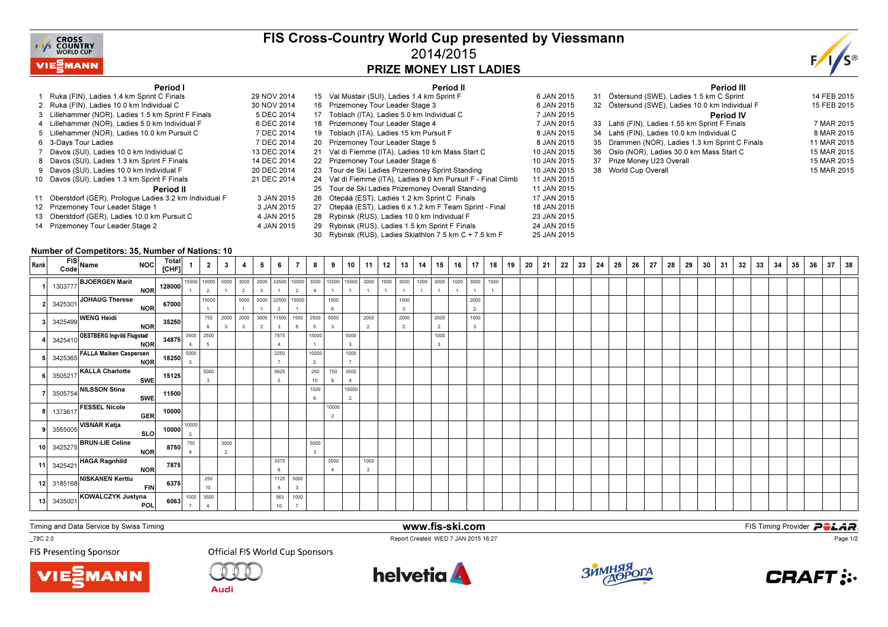

### FIS Cross-Country World Cup presented by Viessmann2014/2015PRIZE MONEY LIST LADIES



#### Period I

| Period I                                                 |             |    | Period II                                                  |             |
|----------------------------------------------------------|-------------|----|------------------------------------------------------------|-------------|
| 1 Ruka (FIN), Ladies 1.4 km Sprint C Finals              | 29 NOV 2014 |    | 15 Val Müstair (SUI), Ladies 1.4 km Sprint F               | 6 JAN 2015  |
| 2 Ruka (FIN), Ladies 10.0 km Individual C                | 30 NOV 2014 | 16 | Prizemoney Tour Leader Stage 3                             | 6 JAN 2015  |
| 3 Lillehammer (NOR), Ladies 1.5 km Sprint F Finals       | 5 DEC 2014  | 17 | Toblach (ITA), Ladies 5.0 km Individual C                  | 7 JAN 2015  |
| 4 Lillehammer (NOR), Ladies 5.0 km Individual F          | 6 DEC 2014  | 18 | Prizemoney Tour Leader Stage 4                             | 7 JAN 2015  |
| 5 Lillehammer (NOR), Ladies 10.0 km Pursuit C            | 7 DEC 2014  | 19 | Toblach (ITA). Ladies 15 km Pursuit F                      | 8 JAN 2015  |
| 6 3-Days Tour Ladies                                     | 7 DEC 2014  | 20 | Prizemoney Tour Leader Stage 5                             | 8 JAN 2015  |
| 7 Davos (SUI), Ladies 10.0 km Individual C               | 13 DEC 2014 | 21 | Val di Fiemme (ITA), Ladies 10 km Mass Start C             | 10 JAN 2015 |
| 8 Davos (SUI), Ladies 1.3 km Sprint F Finals             | 14 DEC 2014 | 22 | Prizemoney Tour Leader Stage 6                             | 10 JAN 2015 |
| 9 Davos (SUI), Ladies 10.0 km Individual F               | 20 DEC 2014 | 23 | Tour de Ski Ladies Prizemoney Sprint Standing              | 10 JAN 2015 |
| 10 Davos (SUI), Ladies 1.3 km Sprint F Finals            | 21 DEC 2014 | 24 | Val di Fiemme (ITA), Ladies 9.0 km Pursuit F - Final Climb | 11 JAN 2015 |
| Period II                                                |             | 25 | Tour de Ski Ladies Prizemoney Overall Standing             | 11 JAN 2015 |
| 11 Oberstdorf (GER), Prologue Ladies 3.2 km Individual F | 3 JAN 2015  | 26 | Otepää (EST), Ladies 1.2 km Sprint C Finals                | 17 JAN 2015 |
| 12 Prizemoney Tour Leader Stage 1                        | 3 JAN 2015  | 27 | Otepää (EST), Ladies 6 x 1.2 km F Team Sprint - Final      | 18 JAN 2015 |
| 13 Oberstdorf (GER), Ladies 10.0 km Pursuit C            | 4 JAN 2015  | 28 | Rybinsk (RUS), Ladies 10.0 km Individual F                 | 23 JAN 2015 |
| 14 Prizemoney Tour Leader Stage 2                        | 4 JAN 2015  | 29 | Rybinsk (RUS), Ladies 1.5 km Sprint F Finals               | 24 JAN 2015 |
|                                                          |             | 30 | Rybinsk (RUS), Ladies Skiathlon 7.5 km C + 7.5 km F        | 25 JAN 2015 |

|    | <b>Period III</b>                               |             |
|----|-------------------------------------------------|-------------|
| 31 | Östersund (SWE), Ladies 1.5 km C Sprint         | 14 FEB 2015 |
|    | 32 Östersund (SWE), Ladies 10.0 km Individual F | 15 FEB 2015 |
|    | <b>Period IV</b>                                |             |
|    | 33 Lahti (FIN), Ladies 1.55 km Sprint F Finals  | 7 MAR 2015  |
|    | 34 Lahti (FIN), Ladies 10.0 km Individual C     | 8 MAR 2015  |
|    | 35 Drammen (NOR), Ladies 1.3 km Sprint C Finals | 11 MAR 2015 |
| 36 | Oslo (NOR), Ladies 30.0 km Mass Start C         | 15 MAR 2015 |
|    | 37 Prize Money U23 Overall                      | 15 MAR 2015 |
| 38 | World Cup Overall                               | 15 MAR 2015 |
|    |                                                 |             |

#### Number of Competitors: 35, Number of Nations: 10

| Rank | NOC Total 1 2 3 4<br>FIS<br>Code Name                                                                                   |           |                                                                             |                          |                                                                                                         | 5 <sup>1</sup> | 6          | $\overline{7}$         | 8                       | 9           |             | $10$   11   12 | $13$   14  | 15         | $16$   17       | $\frac{1}{2}$ 18 $\frac{1}{2}$ | 19 | 20 | 21 | 22 | 23 | 24 | 25 | 26 | 27 | 28 | 29 | 30 | 31 | 32 | 33 | 34 | 35 | $36$ 37 | 38 |
|------|-------------------------------------------------------------------------------------------------------------------------|-----------|-----------------------------------------------------------------------------|--------------------------|---------------------------------------------------------------------------------------------------------|----------------|------------|------------------------|-------------------------|-------------|-------------|----------------|------------|------------|-----------------|--------------------------------|----|----|----|----|----|----|----|----|----|----|----|----|----|----|----|----|----|---------|----|
|      |                                                                                                                         |           |                                                                             |                          |                                                                                                         |                |            |                        |                         |             |             |                |            |            | 1000 3000<br>1. | 1000                           |    |    |    |    |    |    |    |    |    |    |    |    |    |    |    |    |    |         |    |
|      | 3425301 JOHAUG Therese                                                                                                  |           | 15000<br>1.                                                                 |                          | 5000 5000 22500 15000<br>$\mathbf{1}$                                                                   | $\rightarrow$  | 2          | $-1$ .                 |                         | 1500<br>6.  |             |                | 1000<br>3. |            | 2000<br>2.      |                                |    |    |    |    |    |    |    |    |    |    |    |    |    |    |    |    |    |         |    |
|      | 2 3425301 JOHAUG Therese<br>3425499 WENG Heidi<br>3425499 WENG Heidi<br>NOR 35250                                       |           |                                                                             |                          | 750 2000 2000 3000 11500 1500 2500 5000<br>$\begin{array}{ c c c c c } \hline 8. & 3. & 3. \end{array}$ | 2.             | 3.         | 6.                     | 5.                      | 3.          |             | 2000<br>2.     | 2000<br>2. | 2000<br>2. | 1000<br>3.      |                                |    |    |    |    |    |    |    |    |    |    |    |    |    |    |    |    |    |         |    |
|      | 3425410 OESTBERG Ingvild Flugstad<br>34875 3500 2500<br>3425365 FALLA Maiken Caspersen<br>NOR 18250 5000<br>NOR 18250 3 |           |                                                                             |                          |                                                                                                         |                | 7875<br>4. |                        | 15000<br>1.             |             | 5000        |                |            | 1000       |                 |                                |    |    |    |    |    |    |    |    |    |    |    |    |    |    |    |    |    |         |    |
|      |                                                                                                                         |           |                                                                             |                          |                                                                                                         |                | 2250       |                        | 10000<br>2 <sub>1</sub> |             | 1000<br>7.  |                |            |            |                 |                                |    |    |    |    |    |    |    |    |    |    |    |    |    |    |    |    |    |         |    |
|      | 3505217 KALLA Charlotte<br>SWE 15125 5000                                                                               |           |                                                                             |                          |                                                                                                         |                | 5625<br>5. |                        | 250<br>10.              | 750         | 3500<br>4.  |                |            |            |                 |                                |    |    |    |    |    |    |    |    |    |    |    |    |    |    |    |    |    |         |    |
|      | 3505754 NILSSON Stina                                                                                                   | SWE 11500 |                                                                             |                          |                                                                                                         |                |            |                        | 1500<br>6.              |             | 10000<br>2. |                |            |            |                 |                                |    |    |    |    |    |    |    |    |    |    |    |    |    |    |    |    |    |         |    |
|      | 1373617 FESSEL Nicole                                                                                                   | GER 10000 |                                                                             |                          |                                                                                                         |                |            |                        |                         | 10000<br>2. |             |                |            |            |                 |                                |    |    |    |    |    |    |    |    |    |    |    |    |    |    |    |    |    |         |    |
|      |                                                                                                                         |           |                                                                             |                          |                                                                                                         |                |            |                        |                         |             |             |                |            |            |                 |                                |    |    |    |    |    |    |    |    |    |    |    |    |    |    |    |    |    |         |    |
|      | 9 3565005 VISNAR Katja<br>10 3425275 BRUN-LIE Celine<br>NOR 8750 8                                                      |           |                                                                             | 3000<br>$\overline{2}$ . |                                                                                                         |                |            |                        | 5000<br>3.              |             |             |                |            |            |                 |                                |    |    |    |    |    |    |    |    |    |    |    |    |    |    |    |    |    |         |    |
|      | 11 3425421 HAGA Ragnhild<br>NOR 7875                                                                                    |           |                                                                             |                          |                                                                                                         |                | 3375<br>6. |                        |                         | 3500<br>4.  |             | 1000<br>3.     |            |            |                 |                                |    |    |    |    |    |    |    |    |    |    |    |    |    |    |    |    |    |         |    |
|      | 12 3185168 NISKANEN Kerttu FIN 6375                                                                                     |           | 250<br>10.                                                                  |                          |                                                                                                         |                | 1125<br>9  | 5000<br>3.             |                         |             |             |                |            |            |                 |                                |    |    |    |    |    |    |    |    |    |    |    |    |    |    |    |    |    |         |    |
|      | 3435001 KOWALCZYK Justyna<br>POL                                                                                        |           | 6063 $\begin{array}{ c c } \hline 1000 & 3500 \\ \hline 7 & 4. \end{array}$ |                          |                                                                                                         |                | 563<br>10. | 1000<br>$\overline{7}$ |                         |             |             |                |            |            |                 |                                |    |    |    |    |    |    |    |    |    |    |    |    |    |    |    |    |    |         |    |

www.fis-ski.com

Report Created WED 7 JAN 2015 16:27

Timing and Data Service by Swiss Timing

\_78C 2.0

**FIS Presenting Sponsor** 





**Audi** 

**Official FIS World Cup Sponsors** 





**m**<br>FIS Timing Provider<br>FIS Timing Provider



Page 1/2